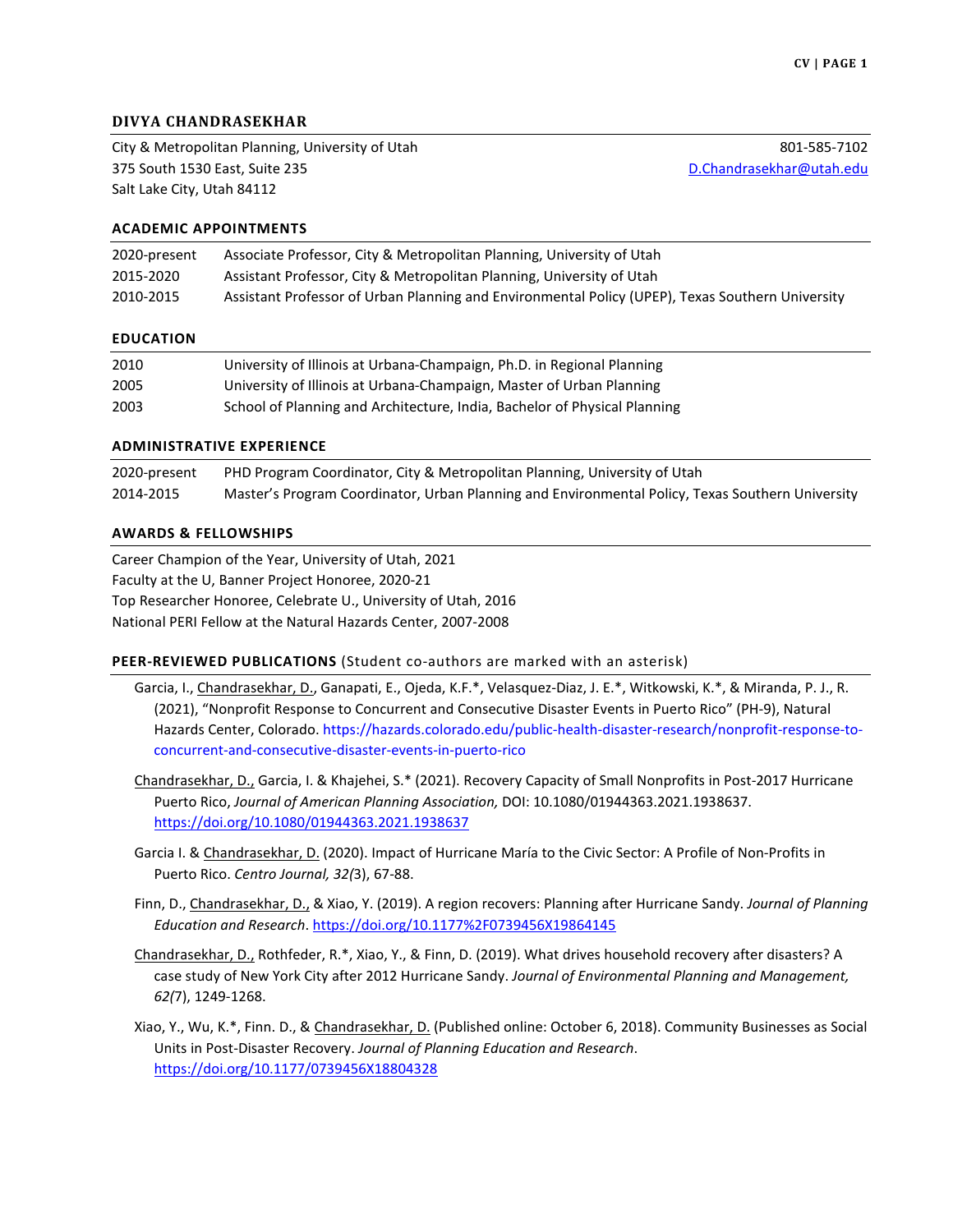# **DIVYA CHANDRASEKHAR**

City & Metropolitan Planning, University of Utah 375 South 1530 East, Suite 235 Salt Lake City, Utah 84112

801-585-7102 [D.Chandrasekhar@utah.edu](mailto:D.Chandrasekhar@utah.edu)

#### **ACADEMIC APPOINTMENTS**

| 2020-present | Associate Professor, City & Metropolitan Planning, University of Utah                            |
|--------------|--------------------------------------------------------------------------------------------------|
| 2015-2020    | Assistant Professor, City & Metropolitan Planning, University of Utah                            |
| 2010-2015    | Assistant Professor of Urban Planning and Environmental Policy (UPEP), Texas Southern University |

#### **EDUCATION**

| 2010 | University of Illinois at Urbana-Champaign, Ph.D. in Regional Planning    |
|------|---------------------------------------------------------------------------|
| 2005 | University of Illinois at Urbana-Champaign, Master of Urban Planning      |
| 2003 | School of Planning and Architecture, India, Bachelor of Physical Planning |

#### **ADMINISTRATIVE EXPERIENCE**

| 2020-present | PHD Program Coordinator, City & Metropolitan Planning, University of Utah                        |
|--------------|--------------------------------------------------------------------------------------------------|
| 2014-2015    | Master's Program Coordinator, Urban Planning and Environmental Policy, Texas Southern University |

#### **AWARDS & FELLOWSHIPS**

Career Champion of the Year, University of Utah, 2021 Faculty at the U, Banner Project Honoree, 2020-21 Top Researcher Honoree, Celebrate U., University of Utah, 2016 National PERI Fellow at the Natural Hazards Center, 2007-2008

### **PEER-REVIEWED PUBLICATIONS** (Student co-authors are marked with an asterisk)

- Garcia, I., Chandrasekhar, D., Ganapati, E., Ojeda, K.F.\*, Velasquez-Diaz, J. E.\*, Witkowski, K.\*, & Miranda, P. J., R. (2021), "Nonprofit Response to Concurrent and Consecutive Disaster Events in Puerto Rico" (PH-9), Natural Hazards Center, Colorado[. https://hazards.colorado.edu/public-health-disaster-research/nonprofit-response-to](https://hazards.colorado.edu/public-health-disaster-research/nonprofit-response-to-concurrent-and-consecutive-disaster-events-in-puerto-rico)[concurrent-and-consecutive-disaster-events-in-puerto-rico](https://hazards.colorado.edu/public-health-disaster-research/nonprofit-response-to-concurrent-and-consecutive-disaster-events-in-puerto-rico)
- Chandrasekhar, D., Garcia, I. & Khajehei, S.\* (2021). Recovery Capacity of Small Nonprofits in Post-2017 Hurricane Puerto Rico, *Journal of American Planning Association,* DOI: 10.1080/01944363.2021.1938637. <https://doi.org/10.1080/01944363.2021.1938637>
- Garcia I. & Chandrasekhar, D. (2020). Impact of Hurricane María to the Civic Sector: A Profile of Non-Profits in Puerto Rico. *Centro Journal, 32(*3), 67-88.
- Finn, D., Chandrasekhar, D., & Xiao, Y. (2019). A region recovers: Planning after Hurricane Sandy. *Journal of Planning Education and Research*. <https://doi.org/10.1177%2F0739456X19864145>
- Chandrasekhar, D., Rothfeder, R.\*, Xiao, Y., & Finn, D. (2019). What drives household recovery after disasters? A case study of New York City after 2012 Hurricane Sandy. *Journal of Environmental Planning and Management, 62(*7), 1249-1268.
- Xiao, Y., Wu, K.\*, Finn. D., & Chandrasekhar, D. (Published online: October 6, 2018). Community Businesses as Social Units in Post-Disaster Recovery. *Journal of Planning Education and Research*. <https://doi.org/10.1177/0739456X18804328>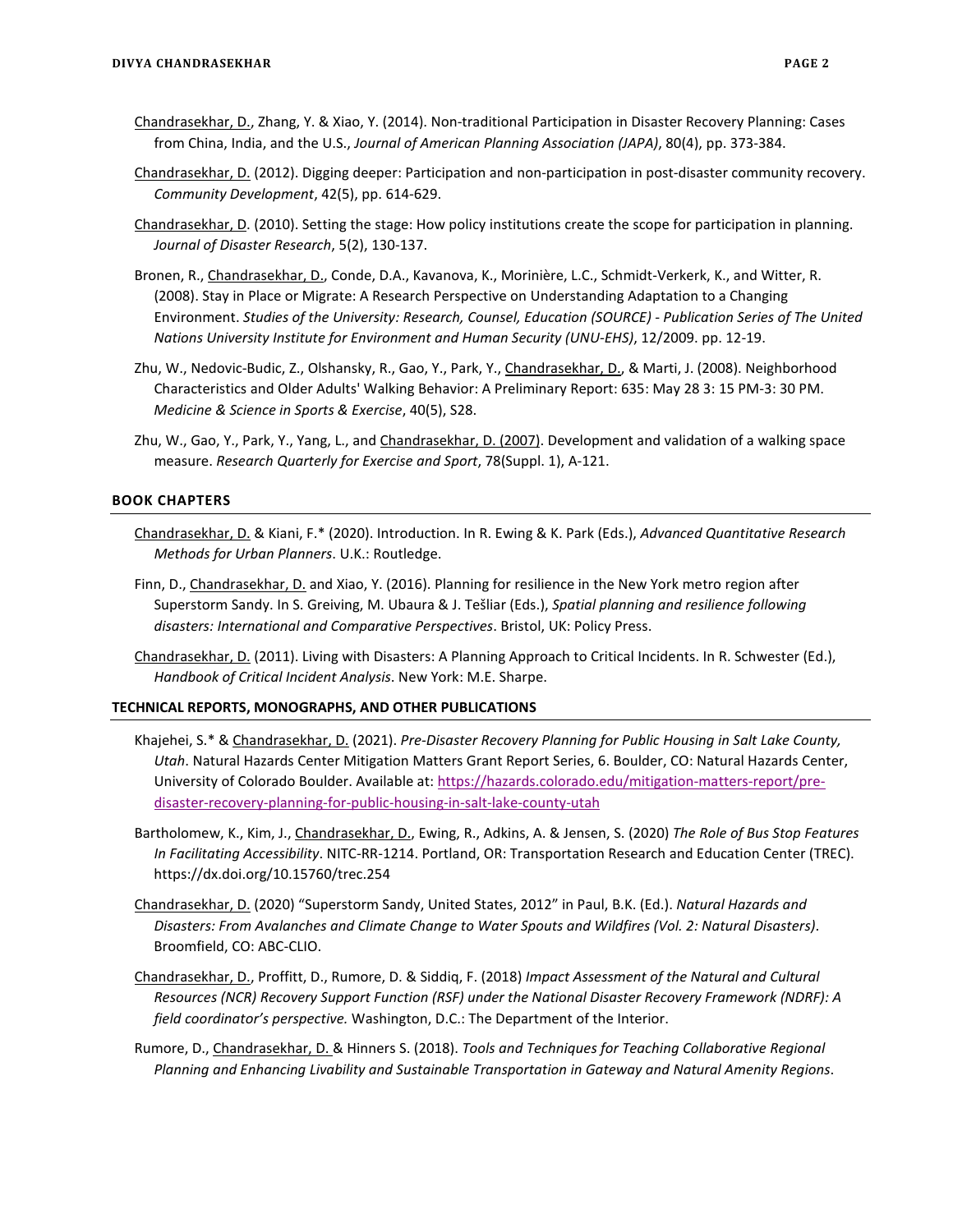- Chandrasekhar, D., Zhang, Y. & Xiao, Y. (2014). Non-traditional Participation in Disaster Recovery Planning: Cases from China, India, and the U.S., *Journal of American Planning Association (JAPA)*, 80(4), pp. 373-384.
- Chandrasekhar, D. (2012). Digging deeper: Participation and non-participation in post-disaster community recovery. *Community Development*, 42(5), pp. 614-629.
- Chandrasekhar, D. (2010). Setting the stage: How policy institutions create the scope for participation in planning. *Journal of Disaster Research*, 5(2), 130-137.
- Bronen, R., Chandrasekhar, D., Conde, D.A., Kavanova, K., Morinière, L.C., Schmidt-Verkerk, K., and Witter, R. (2008). Stay in Place or Migrate: A Research Perspective on Understanding Adaptation to a Changing Environment. *Studies of the University: Research, Counsel, Education (SOURCE) - Publication Series of The United Nations University Institute for Environment and Human Security (UNU-EHS)*, 12/2009. pp. 12-19.
- Zhu, W., Nedovic-Budic, Z., Olshansky, R., Gao, Y., Park, Y., Chandrasekhar, D., & Marti, J. (2008). Neighborhood Characteristics and Older Adults' Walking Behavior: A Preliminary Report: 635: May 28 3: 15 PM-3: 30 PM. *Medicine & Science in Sports & Exercise*, 40(5), S28.
- Zhu, W., Gao, Y., Park, Y., Yang, L., and Chandrasekhar, D. (2007). Development and validation of a walking space measure. *Research Quarterly for Exercise and Sport*, 78(Suppl. 1), A-121.

#### **BOOK CHAPTERS**

- Chandrasekhar, D. & Kiani, F.\* (2020). Introduction. In R. Ewing & K. Park (Eds.), *Advanced Quantitative Research Methods for Urban Planners*. U.K.: Routledge.
- Finn, D., Chandrasekhar, D. and Xiao, Y. (2016). Planning for resilience in the New York metro region after Superstorm Sandy. In S. Greiving, M. Ubaura & J. Tešliar (Eds.), *Spatial planning and resilience following disasters: International and Comparative Perspectives*. Bristol, UK: Policy Press.
- Chandrasekhar, D. (2011). Living with Disasters: A Planning Approach to Critical Incidents. In R. Schwester (Ed.), *Handbook of Critical Incident Analysis*. New York: M.E. Sharpe.

#### **TECHNICAL REPORTS, MONOGRAPHS, AND OTHER PUBLICATIONS**

- Khajehei, S.\* & Chandrasekhar, D. (2021). *Pre-Disaster Recovery Planning for Public Housing in Salt Lake County, Utah*. Natural Hazards Center Mitigation Matters Grant Report Series, 6. Boulder, CO: Natural Hazards Center, University of Colorado Boulder. Available at: [https://hazards.colorado.edu/mitigation-matters-report/pre](https://hazards.colorado.edu/mitigation-matters-report/pre-disaster-recovery-planning-for-public-housing-in-salt-lake-county-utah)[disaster-recovery-planning-for-public-housing-in-salt-lake-county-utah](https://hazards.colorado.edu/mitigation-matters-report/pre-disaster-recovery-planning-for-public-housing-in-salt-lake-county-utah)
- Bartholomew, K., Kim, J., Chandrasekhar, D., Ewing, R., Adkins, A. & Jensen, S. (2020) *The Role of Bus Stop Features In Facilitating Accessibility*. NITC-RR-1214. Portland, OR: Transportation Research and Education Center (TREC). https://dx.doi.org/10.15760/trec.254
- Chandrasekhar, D. (2020) "Superstorm Sandy, United States, 2012" in Paul, B.K. (Ed.). *Natural Hazards and Disasters: From Avalanches and Climate Change to Water Spouts and Wildfires (Vol. 2: Natural Disasters)*. Broomfield, CO: ABC-CLIO.
- Chandrasekhar, D., Proffitt, D., Rumore, D. & Siddiq, F. (2018) *Impact Assessment of the Natural and Cultural Resources (NCR) Recovery Support Function (RSF) under the National Disaster Recovery Framework (NDRF): A field coordinator's perspective.* Washington, D.C.: The Department of the Interior.
- Rumore, D., Chandrasekhar, D. & Hinners S. (2018). *Tools and Techniques for Teaching Collaborative Regional Planning and Enhancing Livability and Sustainable Transportation in Gateway and Natural Amenity Regions*.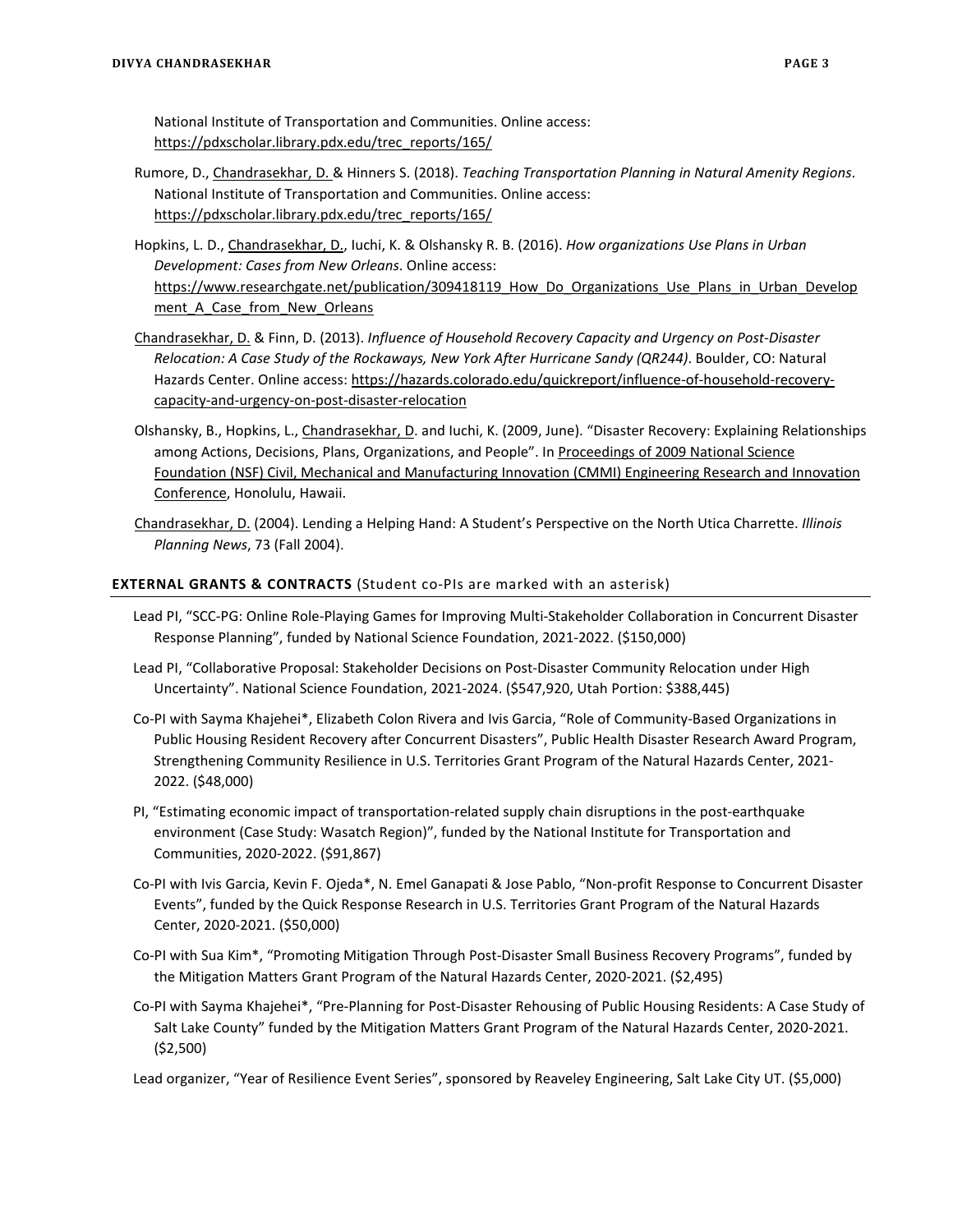National Institute of Transportation and Communities. Online access: [https://pdxscholar.library.pdx.edu/trec\\_reports/165/](https://pdxscholar.library.pdx.edu/trec_reports/165/)

- Rumore, D., Chandrasekhar, D. & Hinners S. (2018). *Teaching Transportation Planning in Natural Amenity Regions*. National Institute of Transportation and Communities. Online access: [https://pdxscholar.library.pdx.edu/trec\\_reports/165/](https://pdxscholar.library.pdx.edu/trec_reports/165/)
- Hopkins, L. D., Chandrasekhar, D., Iuchi, K. & Olshansky R. B. (2016). *How organizations Use Plans in Urban Development: Cases from New Orleans*. Online access: https://www.researchgate.net/publication/309418119 How Do Organizations Use Plans in Urban Develop ment A Case from New Orleans
- Chandrasekhar, D. & Finn, D. (2013). *Influence of Household Recovery Capacity and Urgency on Post-Disaster Relocation: A Case Study of the Rockaways, New York After Hurricane Sandy (QR244)*. Boulder, CO: Natural Hazards Center. Online access: [https://hazards.colorado.edu/quickreport/influence-of-household-recovery](https://hazards.colorado.edu/quickreport/influence-of-household-recovery-capacity-and-urgency-on-post-disaster-relocation)[capacity-and-urgency-on-post-disaster-relocation](https://hazards.colorado.edu/quickreport/influence-of-household-recovery-capacity-and-urgency-on-post-disaster-relocation)
- Olshansky, B., Hopkins, L., Chandrasekhar, D. and Iuchi, K. (2009, June). "Disaster Recovery: Explaining Relationships among Actions, Decisions, Plans, Organizations, and People". In Proceedings of 2009 National Science Foundation (NSF) Civil, Mechanical and Manufacturing Innovation (CMMI) Engineering Research and Innovation Conference, Honolulu, Hawaii.
- Chandrasekhar, D. (2004). Lending a Helping Hand: A Student's Perspective on the North Utica Charrette. *Illinois Planning News*, 73 (Fall 2004).

## **EXTERNAL GRANTS & CONTRACTS** (Student co-PIs are marked with an asterisk)

- Lead PI, "SCC-PG: Online Role-Playing Games for Improving Multi-Stakeholder Collaboration in Concurrent Disaster Response Planning", funded by National Science Foundation, 2021-2022. (\$150,000)
- Lead PI, "Collaborative Proposal: Stakeholder Decisions on Post-Disaster Community Relocation under High Uncertainty". National Science Foundation, 2021-2024. (\$547,920, Utah Portion: \$388,445)
- Co-PI with Sayma Khajehei\*, Elizabeth Colon Rivera and Ivis Garcia, "Role of Community-Based Organizations in Public Housing Resident Recovery after Concurrent Disasters", Public Health Disaster Research Award Program, Strengthening Community Resilience in U.S. Territories Grant Program of the Natural Hazards Center, 2021- 2022. (\$48,000)
- PI, "Estimating economic impact of transportation-related supply chain disruptions in the post-earthquake environment (Case Study: Wasatch Region)", funded by the National Institute for Transportation and Communities, 2020-2022. (\$91,867)
- Co-PI with Ivis Garcia, Kevin F. Ojeda\*, N. Emel Ganapati & Jose Pablo, "Non-profit Response to Concurrent Disaster Events", funded by the Quick Response Research in U.S. Territories Grant Program of the Natural Hazards Center, 2020-2021. (\$50,000)
- Co-PI with Sua Kim\*, "Promoting Mitigation Through Post-Disaster Small Business Recovery Programs", funded by the Mitigation Matters Grant Program of the Natural Hazards Center, 2020-2021. (\$2,495)
- Co-PI with Sayma Khajehei\*, "Pre-Planning for Post-Disaster Rehousing of Public Housing Residents: A Case Study of Salt Lake County" funded by the Mitigation Matters Grant Program of the Natural Hazards Center, 2020-2021. (\$2,500)

Lead organizer, "Year of Resilience Event Series", sponsored by Reaveley Engineering, Salt Lake City UT. (\$5,000)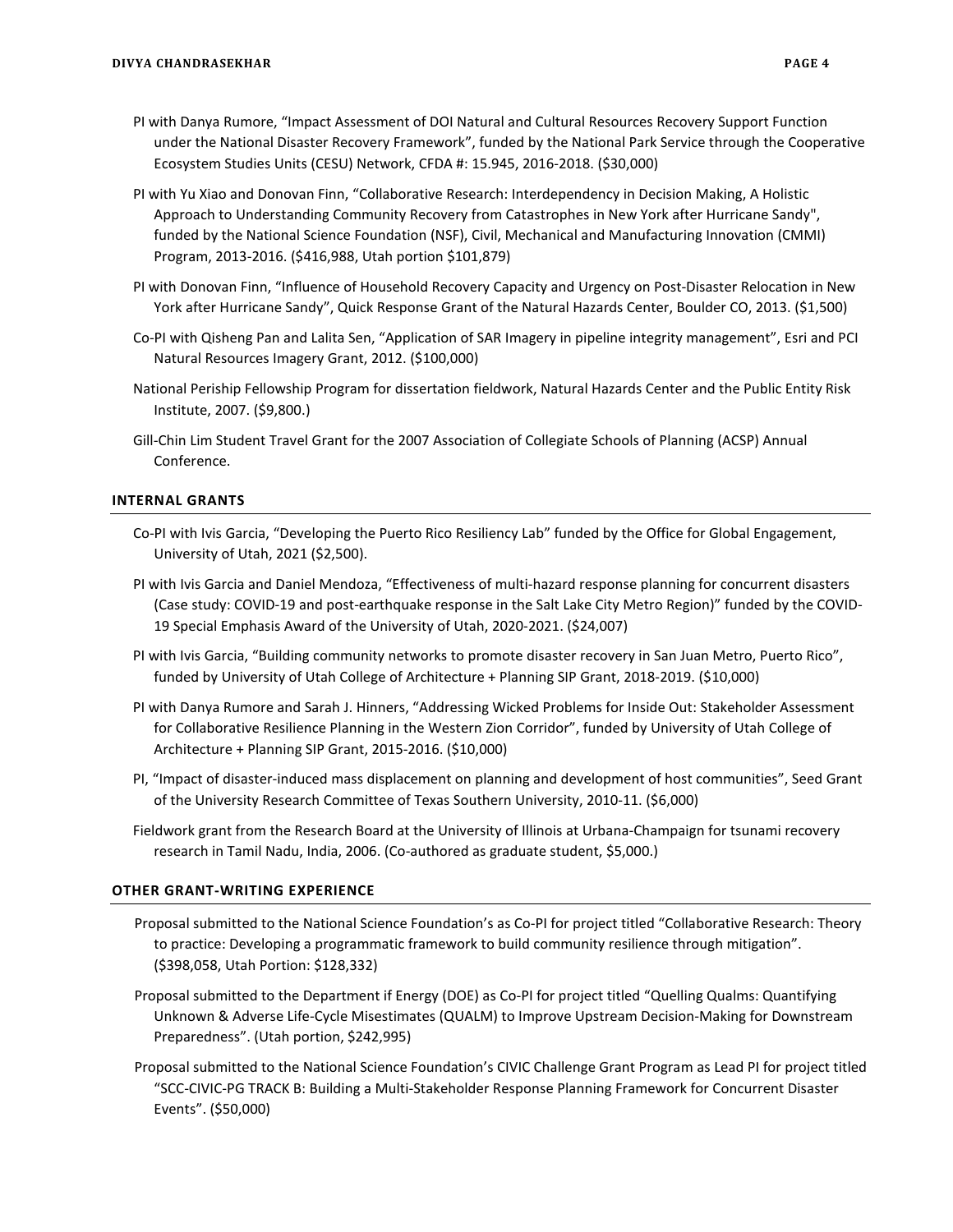- PI with Danya Rumore, "Impact Assessment of DOI Natural and Cultural Resources Recovery Support Function under the National Disaster Recovery Framework", funded by the National Park Service through the Cooperative Ecosystem Studies Units (CESU) Network, CFDA #: 15.945, 2016-2018. (\$30,000)
- PI with Yu Xiao and Donovan Finn, "Collaborative Research: Interdependency in Decision Making, A Holistic Approach to Understanding Community Recovery from Catastrophes in New York after Hurricane Sandy", funded by the National Science Foundation (NSF), Civil, Mechanical and Manufacturing Innovation (CMMI) Program, 2013-2016. (\$416,988, Utah portion \$101,879)
- PI with Donovan Finn, "Influence of Household Recovery Capacity and Urgency on Post-Disaster Relocation in New York after Hurricane Sandy", Quick Response Grant of the Natural Hazards Center, Boulder CO, 2013. (\$1,500)
- Co-PI with Qisheng Pan and Lalita Sen, "Application of SAR Imagery in pipeline integrity management", Esri and PCI Natural Resources Imagery Grant, 2012. (\$100,000)
- National Periship Fellowship Program for dissertation fieldwork, Natural Hazards Center and the Public Entity Risk Institute, 2007. (\$9,800.)
- Gill-Chin Lim Student Travel Grant for the 2007 Association of Collegiate Schools of Planning (ACSP) Annual Conference.

### **INTERNAL GRANTS**

- Co-PI with Ivis Garcia, "Developing the Puerto Rico Resiliency Lab" funded by the Office for Global Engagement, University of Utah, 2021 (\$2,500).
- PI with Ivis Garcia and Daniel Mendoza, "Effectiveness of multi-hazard response planning for concurrent disasters (Case study: COVID-19 and post-earthquake response in the Salt Lake City Metro Region)" funded by the COVID-19 Special Emphasis Award of the University of Utah, 2020-2021. (\$24,007)
- PI with Ivis Garcia, "Building community networks to promote disaster recovery in San Juan Metro, Puerto Rico", funded by University of Utah College of Architecture + Planning SIP Grant, 2018-2019. (\$10,000)
- PI with Danya Rumore and Sarah J. Hinners, "Addressing Wicked Problems for Inside Out: Stakeholder Assessment for Collaborative Resilience Planning in the Western Zion Corridor", funded by University of Utah College of Architecture + Planning SIP Grant, 2015-2016. (\$10,000)
- PI, "Impact of disaster-induced mass displacement on planning and development of host communities", Seed Grant of the University Research Committee of Texas Southern University, 2010-11. (\$6,000)
- Fieldwork grant from the Research Board at the University of Illinois at Urbana-Champaign for tsunami recovery research in Tamil Nadu, India, 2006. (Co-authored as graduate student, \$5,000.)

#### **OTHER GRANT-WRITING EXPERIENCE**

- Proposal submitted to the National Science Foundation's as Co-PI for project titled "Collaborative Research: Theory to practice: Developing a programmatic framework to build community resilience through mitigation". (\$398,058, Utah Portion: \$128,332)
- Proposal submitted to the Department if Energy (DOE) as Co-PI for project titled "Quelling Qualms: Quantifying Unknown & Adverse Life-Cycle Misestimates (QUALM) to Improve Upstream Decision-Making for Downstream Preparedness". (Utah portion, \$242,995)
- Proposal submitted to the National Science Foundation's CIVIC Challenge Grant Program as Lead PI for project titled "SCC-CIVIC-PG TRACK B: Building a Multi-Stakeholder Response Planning Framework for Concurrent Disaster Events". (\$50,000)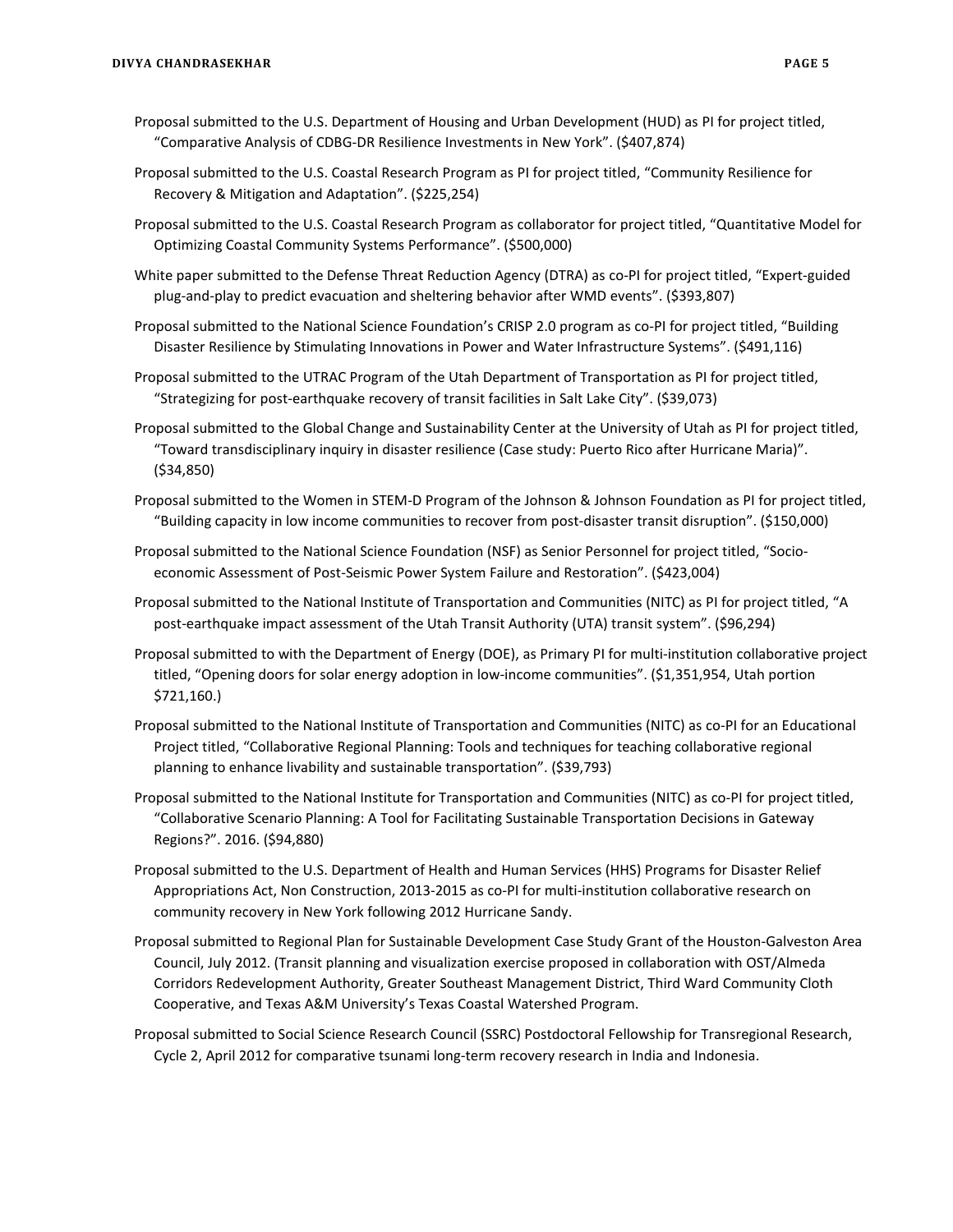- Proposal submitted to the U.S. Department of Housing and Urban Development (HUD) as PI for project titled, "Comparative Analysis of CDBG-DR Resilience Investments in New York". (\$407,874)
- Proposal submitted to the U.S. Coastal Research Program as PI for project titled, "Community Resilience for Recovery & Mitigation and Adaptation". (\$225,254)
- Proposal submitted to the U.S. Coastal Research Program as collaborator for project titled, "Quantitative Model for Optimizing Coastal Community Systems Performance". (\$500,000)
- White paper submitted to the Defense Threat Reduction Agency (DTRA) as co-PI for project titled, "Expert-guided plug-and-play to predict evacuation and sheltering behavior after WMD events". (\$393,807)
- Proposal submitted to the National Science Foundation's CRISP 2.0 program as co-PI for project titled, "Building Disaster Resilience by Stimulating Innovations in Power and Water Infrastructure Systems". (\$491,116)
- Proposal submitted to the UTRAC Program of the Utah Department of Transportation as PI for project titled, "Strategizing for post-earthquake recovery of transit facilities in Salt Lake City". (\$39,073)
- Proposal submitted to the Global Change and Sustainability Center at the University of Utah as PI for project titled, "Toward transdisciplinary inquiry in disaster resilience (Case study: Puerto Rico after Hurricane Maria)". (\$34,850)
- Proposal submitted to the Women in STEM-D Program of the Johnson & Johnson Foundation as PI for project titled, "Building capacity in low income communities to recover from post-disaster transit disruption". (\$150,000)
- Proposal submitted to the National Science Foundation (NSF) as Senior Personnel for project titled, "Socioeconomic Assessment of Post-Seismic Power System Failure and Restoration". (\$423,004)
- Proposal submitted to the National Institute of Transportation and Communities (NITC) as PI for project titled, "A post-earthquake impact assessment of the Utah Transit Authority (UTA) transit system". (\$96,294)
- Proposal submitted to with the Department of Energy (DOE), as Primary PI for multi-institution collaborative project titled, "Opening doors for solar energy adoption in low-income communities". (\$1,351,954, Utah portion \$721,160.)
- Proposal submitted to the National Institute of Transportation and Communities (NITC) as co-PI for an Educational Project titled, "Collaborative Regional Planning: Tools and techniques for teaching collaborative regional planning to enhance livability and sustainable transportation". (\$39,793)
- Proposal submitted to the National Institute for Transportation and Communities (NITC) as co-PI for project titled, "Collaborative Scenario Planning: A Tool for Facilitating Sustainable Transportation Decisions in Gateway Regions?". 2016. (\$94,880)
- Proposal submitted to the U.S. Department of Health and Human Services (HHS) Programs for Disaster Relief Appropriations Act, Non Construction, 2013-2015 as co-PI for multi-institution collaborative research on community recovery in New York following 2012 Hurricane Sandy.
- Proposal submitted to Regional Plan for Sustainable Development Case Study Grant of the Houston-Galveston Area Council, July 2012. (Transit planning and visualization exercise proposed in collaboration with OST/Almeda Corridors Redevelopment Authority, Greater Southeast Management District, Third Ward Community Cloth Cooperative, and Texas A&M University's Texas Coastal Watershed Program.
- Proposal submitted to Social Science Research Council (SSRC) Postdoctoral Fellowship for Transregional Research, Cycle 2, April 2012 for comparative tsunami long-term recovery research in India and Indonesia.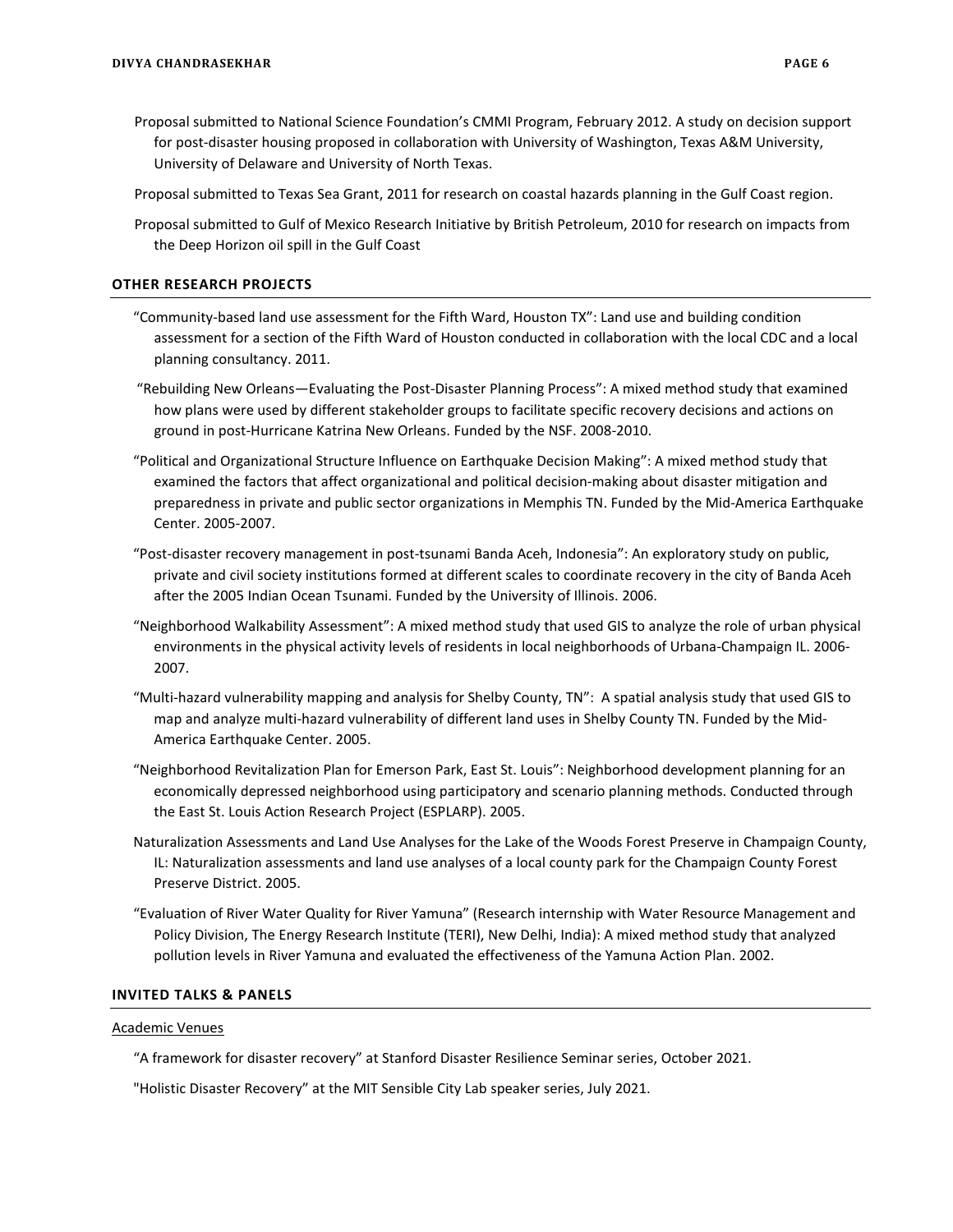- Proposal submitted to National Science Foundation's CMMI Program, February 2012. A study on decision support for post-disaster housing proposed in collaboration with University of Washington, Texas A&M University, University of Delaware and University of North Texas.
- Proposal submitted to Texas Sea Grant, 2011 for research on coastal hazards planning in the Gulf Coast region.
- Proposal submitted to Gulf of Mexico Research Initiative by British Petroleum, 2010 for research on impacts from the Deep Horizon oil spill in the Gulf Coast

#### **OTHER RESEARCH PROJECTS**

- "Community-based land use assessment for the Fifth Ward, Houston TX": Land use and building condition assessment for a section of the Fifth Ward of Houston conducted in collaboration with the local CDC and a local planning consultancy. 2011.
- "Rebuilding New Orleans—Evaluating the Post-Disaster Planning Process": A mixed method study that examined how plans were used by different stakeholder groups to facilitate specific recovery decisions and actions on ground in post-Hurricane Katrina New Orleans. Funded by the NSF. 2008-2010.
- "Political and Organizational Structure Influence on Earthquake Decision Making": A mixed method study that examined the factors that affect organizational and political decision-making about disaster mitigation and preparedness in private and public sector organizations in Memphis TN. Funded by the Mid-America Earthquake Center. 2005-2007.
- "Post-disaster recovery management in post-tsunami Banda Aceh, Indonesia": An exploratory study on public, private and civil society institutions formed at different scales to coordinate recovery in the city of Banda Aceh after the 2005 Indian Ocean Tsunami. Funded by the University of Illinois. 2006.
- "Neighborhood Walkability Assessment": A mixed method study that used GIS to analyze the role of urban physical environments in the physical activity levels of residents in local neighborhoods of Urbana-Champaign IL. 2006- 2007.
- "Multi-hazard vulnerability mapping and analysis for Shelby County, TN": A spatial analysis study that used GIS to map and analyze multi-hazard vulnerability of different land uses in Shelby County TN. Funded by the Mid-America Earthquake Center. 2005.
- "Neighborhood Revitalization Plan for Emerson Park, East St. Louis": Neighborhood development planning for an economically depressed neighborhood using participatory and scenario planning methods. Conducted through the East St. Louis Action Research Project (ESPLARP). 2005.
- Naturalization Assessments and Land Use Analyses for the Lake of the Woods Forest Preserve in Champaign County, IL: Naturalization assessments and land use analyses of a local county park for the Champaign County Forest Preserve District. 2005.
- "Evaluation of River Water Quality for River Yamuna" (Research internship with Water Resource Management and Policy Division, The Energy Research Institute (TERI), New Delhi, India): A mixed method study that analyzed pollution levels in River Yamuna and evaluated the effectiveness of the Yamuna Action Plan. 2002.

#### **INVITED TALKS & PANELS**

#### Academic Venues

"A framework for disaster recovery" at Stanford Disaster Resilience Seminar series, October 2021.

"Holistic Disaster Recovery" at the MIT Sensible City Lab speaker series, July 2021.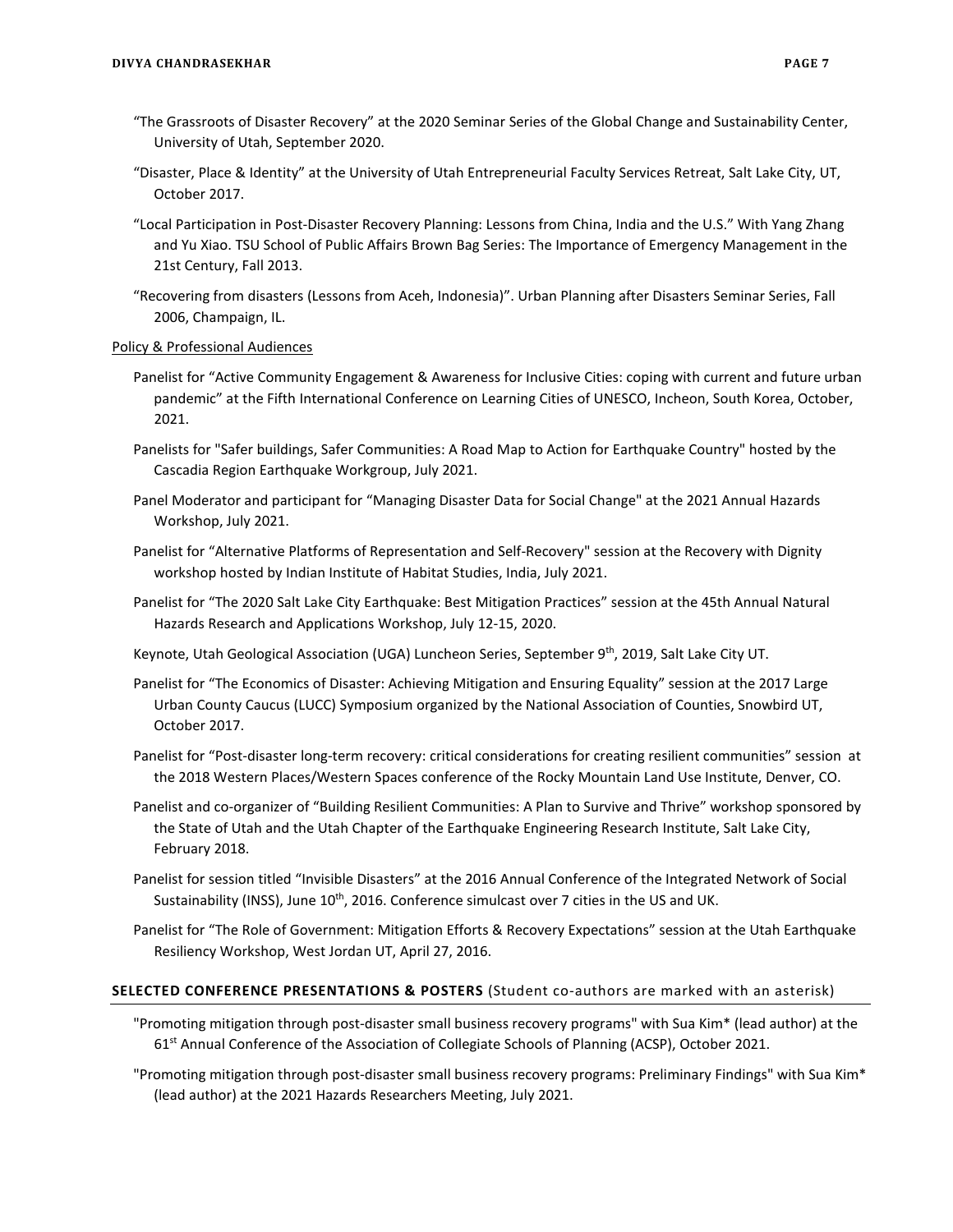- "The Grassroots of Disaster Recovery" at the 2020 Seminar Series of the Global Change and Sustainability Center, University of Utah, September 2020.
- "Disaster, Place & Identity" at the University of Utah Entrepreneurial Faculty Services Retreat, Salt Lake City, UT, October 2017.
- "Local Participation in Post-Disaster Recovery Planning: Lessons from China, India and the U.S." With Yang Zhang and Yu Xiao. TSU School of Public Affairs Brown Bag Series: The Importance of Emergency Management in the 21st Century, Fall 2013.
- "Recovering from disasters (Lessons from Aceh, Indonesia)". Urban Planning after Disasters Seminar Series, Fall 2006, Champaign, IL.

#### Policy & Professional Audiences

- Panelist for "Active Community Engagement & Awareness for Inclusive Cities: coping with current and future urban pandemic" at the Fifth International Conference on Learning Cities of UNESCO, Incheon, South Korea, October, 2021.
- Panelists for "Safer buildings, Safer Communities: A Road Map to Action for Earthquake Country" hosted by the Cascadia Region Earthquake Workgroup, July 2021.
- Panel Moderator and participant for "Managing Disaster Data for Social Change" at the 2021 Annual Hazards Workshop, July 2021.
- Panelist for "Alternative Platforms of Representation and Self-Recovery" session at the Recovery with Dignity workshop hosted by Indian Institute of Habitat Studies, India, July 2021.
- Panelist for "The 2020 Salt Lake City Earthquake: Best Mitigation Practices" session at the 45th Annual Natural Hazards Research and Applications Workshop, July 12-15, 2020.
- Keynote, Utah Geological Association (UGA) Luncheon Series, September 9<sup>th</sup>, 2019, Salt Lake City UT.
- Panelist for "The Economics of Disaster: Achieving Mitigation and Ensuring Equality" session at the 2017 Large Urban County Caucus (LUCC) Symposium organized by the National Association of Counties, Snowbird UT, October 2017.
- Panelist for "Post-disaster long-term recovery: critical considerations for creating resilient communities" session at the 2018 Western Places/Western Spaces conference of the Rocky Mountain Land Use Institute, Denver, CO.
- Panelist and co-organizer of "Building Resilient Communities: A Plan to Survive and Thrive" workshop sponsored by the State of Utah and the Utah Chapter of the Earthquake Engineering Research Institute, Salt Lake City, February 2018.
- Panelist for session titled "Invisible Disasters" at the 2016 Annual Conference of the Integrated Network of Social Sustainability (INSS), June 10<sup>th</sup>, 2016. Conference simulcast over 7 cities in the US and UK.
- Panelist for "The Role of Government: Mitigation Efforts & Recovery Expectations" session at the Utah Earthquake Resiliency Workshop, West Jordan UT, April 27, 2016.

### **SELECTED CONFERENCE PRESENTATIONS & POSTERS** (Student co-authors are marked with an asterisk)

- "Promoting mitigation through post-disaster small business recovery programs" with Sua Kim\* (lead author) at the 61<sup>st</sup> Annual Conference of the Association of Collegiate Schools of Planning (ACSP), October 2021.
- "Promoting mitigation through post-disaster small business recovery programs: Preliminary Findings" with Sua Kim\* (lead author) at the 2021 Hazards Researchers Meeting, July 2021.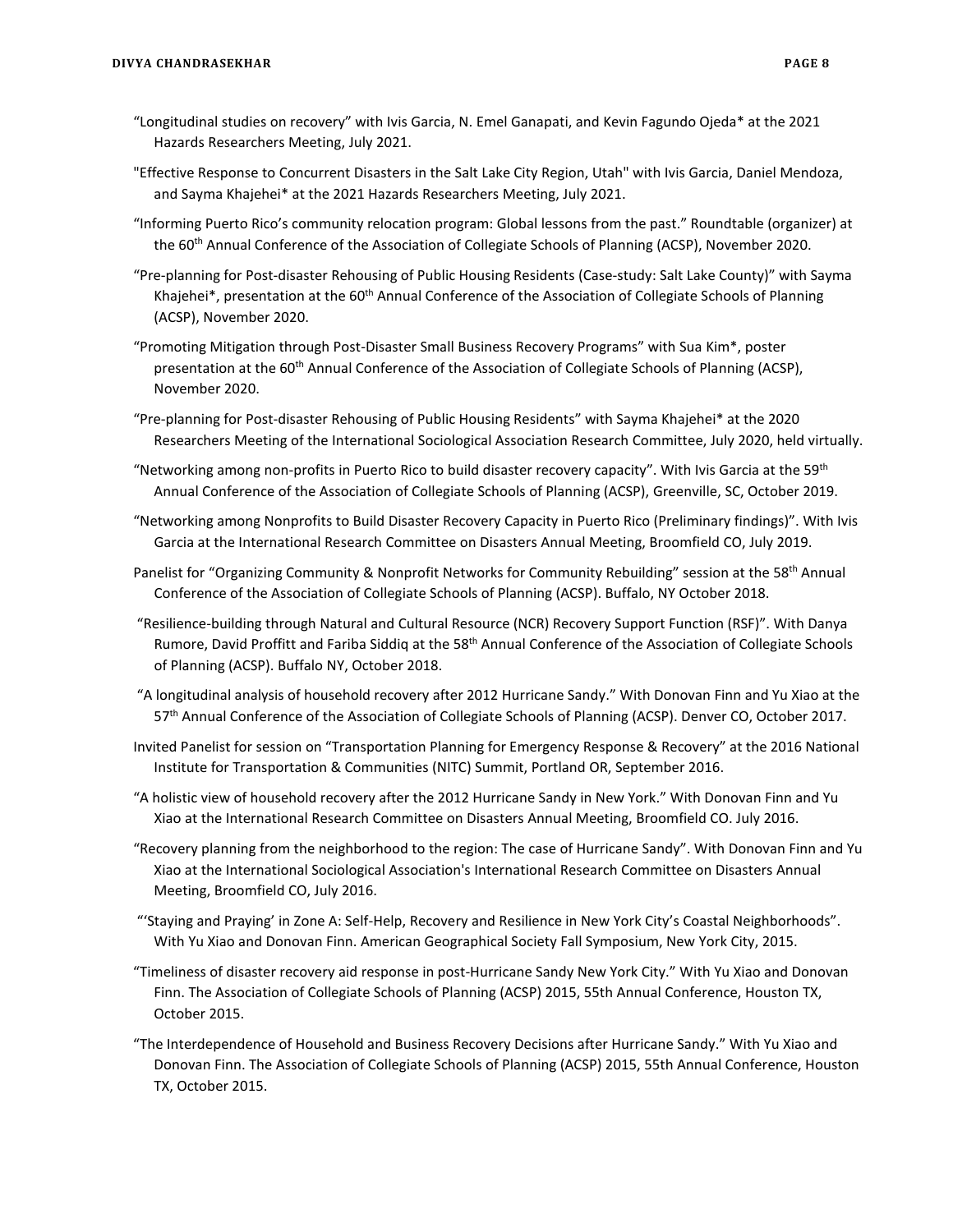- "Longitudinal studies on recovery" with Ivis Garcia, N. Emel Ganapati, and Kevin Fagundo Ojeda\* at the 2021 Hazards Researchers Meeting, July 2021.
- "Effective Response to Concurrent Disasters in the Salt Lake City Region, Utah" with Ivis Garcia, Daniel Mendoza, and Sayma Khajehei\* at the 2021 Hazards Researchers Meeting, July 2021.
- "Informing Puerto Rico's community relocation program: Global lessons from the past." Roundtable (organizer) at the 60th Annual Conference of the Association of Collegiate Schools of Planning (ACSP), November 2020.
- "Pre-planning for Post-disaster Rehousing of Public Housing Residents (Case-study: Salt Lake County)" with Sayma Khajehei\*, presentation at the 60<sup>th</sup> Annual Conference of the Association of Collegiate Schools of Planning (ACSP), November 2020.
- "Promoting Mitigation through Post-Disaster Small Business Recovery Programs" with Sua Kim\*, poster presentation at the 60<sup>th</sup> Annual Conference of the Association of Collegiate Schools of Planning (ACSP), November 2020.
- "Pre-planning for Post-disaster Rehousing of Public Housing Residents" with Sayma Khajehei\* at the 2020 Researchers Meeting of the International Sociological Association Research Committee, July 2020, held virtually.
- "Networking among non-profits in Puerto Rico to build disaster recovery capacity". With Ivis Garcia at the 59<sup>th</sup> Annual Conference of the Association of Collegiate Schools of Planning (ACSP), Greenville, SC, October 2019.
- "Networking among Nonprofits to Build Disaster Recovery Capacity in Puerto Rico (Preliminary findings)". With Ivis Garcia at the International Research Committee on Disasters Annual Meeting, Broomfield CO, July 2019.
- Panelist for "Organizing Community & Nonprofit Networks for Community Rebuilding" session at the 58<sup>th</sup> Annual Conference of the Association of Collegiate Schools of Planning (ACSP). Buffalo, NY October 2018.
- "Resilience-building through Natural and Cultural Resource (NCR) Recovery Support Function (RSF)". With Danya Rumore, David Proffitt and Fariba Siddiq at the 58<sup>th</sup> Annual Conference of the Association of Collegiate Schools of Planning (ACSP). Buffalo NY, October 2018.
- "A longitudinal analysis of household recovery after 2012 Hurricane Sandy." With Donovan Finn and Yu Xiao at the 57th Annual Conference of the Association of Collegiate Schools of Planning (ACSP). Denver CO, October 2017.
- Invited Panelist for session on "Transportation Planning for Emergency Response & Recovery" at the 2016 National Institute for Transportation & Communities (NITC) Summit, Portland OR, September 2016.
- "A holistic view of household recovery after the 2012 Hurricane Sandy in New York." With Donovan Finn and Yu Xiao at the International Research Committee on Disasters Annual Meeting, Broomfield CO. July 2016.
- "Recovery planning from the neighborhood to the region: The case of Hurricane Sandy". With Donovan Finn and Yu Xiao at the International Sociological Association's International Research Committee on Disasters Annual Meeting, Broomfield CO, July 2016.
- "'Staying and Praying' in Zone A: Self-Help, Recovery and Resilience in New York City's Coastal Neighborhoods". With Yu Xiao and Donovan Finn. American Geographical Society Fall Symposium, New York City, 2015.
- "Timeliness of disaster recovery aid response in post-Hurricane Sandy New York City." With Yu Xiao and Donovan Finn. The Association of Collegiate Schools of Planning (ACSP) 2015, 55th Annual Conference, Houston TX, October 2015.
- "The Interdependence of Household and Business Recovery Decisions after Hurricane Sandy." With Yu Xiao and Donovan Finn. The Association of Collegiate Schools of Planning (ACSP) 2015, 55th Annual Conference, Houston TX, October 2015.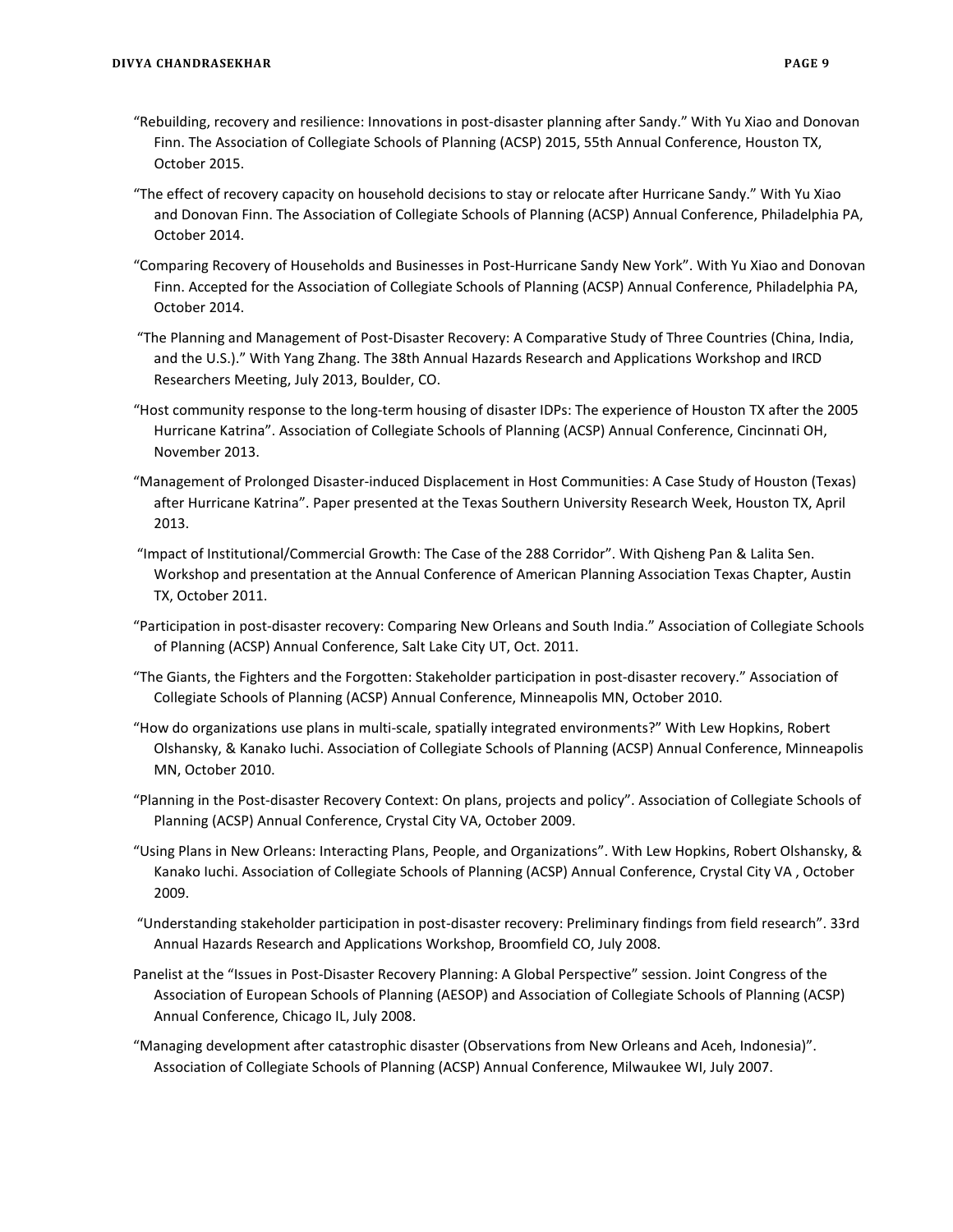- "Rebuilding, recovery and resilience: Innovations in post-disaster planning after Sandy." With Yu Xiao and Donovan Finn. The Association of Collegiate Schools of Planning (ACSP) 2015, 55th Annual Conference, Houston TX, October 2015.
- "The effect of recovery capacity on household decisions to stay or relocate after Hurricane Sandy." With Yu Xiao and Donovan Finn. The Association of Collegiate Schools of Planning (ACSP) Annual Conference, Philadelphia PA, October 2014.
- "Comparing Recovery of Households and Businesses in Post-Hurricane Sandy New York". With Yu Xiao and Donovan Finn. Accepted for the Association of Collegiate Schools of Planning (ACSP) Annual Conference, Philadelphia PA, October 2014.
- "The Planning and Management of Post-Disaster Recovery: A Comparative Study of Three Countries (China, India, and the U.S.)." With Yang Zhang. The 38th Annual Hazards Research and Applications Workshop and IRCD Researchers Meeting, July 2013, Boulder, CO.
- "Host community response to the long-term housing of disaster IDPs: The experience of Houston TX after the 2005 Hurricane Katrina". Association of Collegiate Schools of Planning (ACSP) Annual Conference, Cincinnati OH, November 2013.
- "Management of Prolonged Disaster-induced Displacement in Host Communities: A Case Study of Houston (Texas) after Hurricane Katrina". Paper presented at the Texas Southern University Research Week, Houston TX, April 2013.
- "Impact of Institutional/Commercial Growth: The Case of the 288 Corridor". With Qisheng Pan & Lalita Sen. Workshop and presentation at the Annual Conference of American Planning Association Texas Chapter, Austin TX, October 2011.
- "Participation in post-disaster recovery: Comparing New Orleans and South India." Association of Collegiate Schools of Planning (ACSP) Annual Conference, Salt Lake City UT, Oct. 2011.
- "The Giants, the Fighters and the Forgotten: Stakeholder participation in post-disaster recovery." Association of Collegiate Schools of Planning (ACSP) Annual Conference, Minneapolis MN, October 2010.
- "How do organizations use plans in multi-scale, spatially integrated environments?" With Lew Hopkins, Robert Olshansky, & Kanako Iuchi. Association of Collegiate Schools of Planning (ACSP) Annual Conference, Minneapolis MN, October 2010.
- "Planning in the Post-disaster Recovery Context: On plans, projects and policy". Association of Collegiate Schools of Planning (ACSP) Annual Conference, Crystal City VA, October 2009.
- "Using Plans in New Orleans: Interacting Plans, People, and Organizations". With Lew Hopkins, Robert Olshansky, & Kanako Iuchi. Association of Collegiate Schools of Planning (ACSP) Annual Conference, Crystal City VA , October 2009.
- "Understanding stakeholder participation in post-disaster recovery: Preliminary findings from field research". 33rd Annual Hazards Research and Applications Workshop, Broomfield CO, July 2008.
- Panelist at the "Issues in Post-Disaster Recovery Planning: A Global Perspective" session. Joint Congress of the Association of European Schools of Planning (AESOP) and Association of Collegiate Schools of Planning (ACSP) Annual Conference, Chicago IL, July 2008.
- "Managing development after catastrophic disaster (Observations from New Orleans and Aceh, Indonesia)". Association of Collegiate Schools of Planning (ACSP) Annual Conference, Milwaukee WI, July 2007.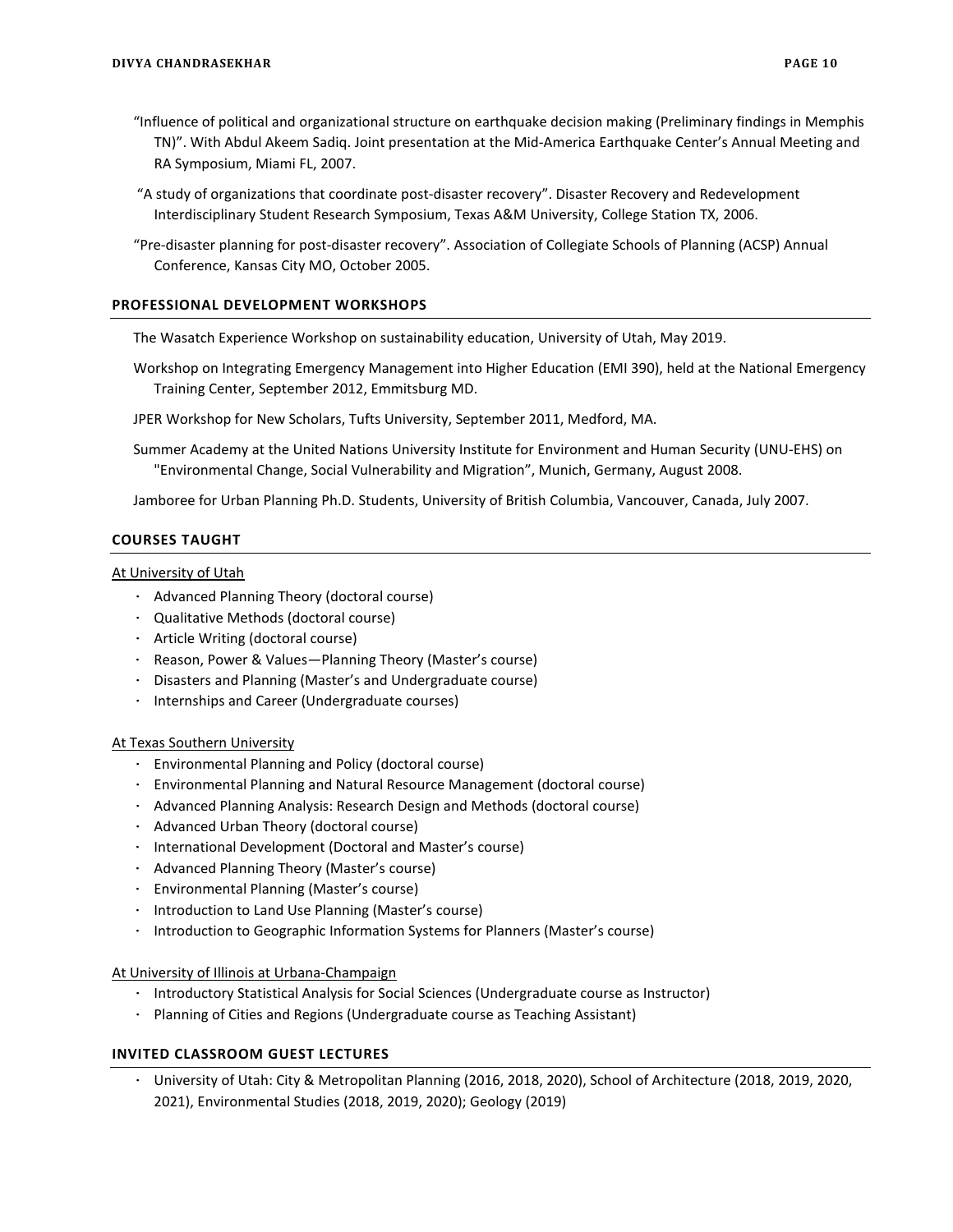- "Influence of political and organizational structure on earthquake decision making (Preliminary findings in Memphis TN)". With Abdul Akeem Sadiq. Joint presentation at the Mid-America Earthquake Center's Annual Meeting and RA Symposium, Miami FL, 2007.
- "A study of organizations that coordinate post-disaster recovery". Disaster Recovery and Redevelopment Interdisciplinary Student Research Symposium, Texas A&M University, College Station TX, 2006.
- "Pre-disaster planning for post-disaster recovery". Association of Collegiate Schools of Planning (ACSP) Annual Conference, Kansas City MO, October 2005.

## **PROFESSIONAL DEVELOPMENT WORKSHOPS**

The Wasatch Experience Workshop on sustainability education, University of Utah, May 2019.

- Workshop on Integrating Emergency Management into Higher Education (EMI 390), held at the National Emergency Training Center, September 2012, Emmitsburg MD.
- JPER Workshop for New Scholars, Tufts University, September 2011, Medford, MA.
- Summer Academy at the United Nations University Institute for Environment and Human Security (UNU-EHS) on "Environmental Change, Social Vulnerability and Migration", Munich, Germany, August 2008.

Jamboree for Urban Planning Ph.D. Students, University of British Columbia, Vancouver, Canada, July 2007.

# **COURSES TAUGHT**

At University of Utah

- · Advanced Planning Theory (doctoral course)
- · Qualitative Methods (doctoral course)
- · Article Writing (doctoral course)
- · Reason, Power & Values—Planning Theory (Master's course)
- · Disasters and Planning (Master's and Undergraduate course)
- · Internships and Career (Undergraduate courses)

### At Texas Southern University

- · Environmental Planning and Policy (doctoral course)
- · Environmental Planning and Natural Resource Management (doctoral course)
- · Advanced Planning Analysis: Research Design and Methods (doctoral course)
- · Advanced Urban Theory (doctoral course)
- · International Development (Doctoral and Master's course)
- · Advanced Planning Theory (Master's course)
- · Environmental Planning (Master's course)
- · Introduction to Land Use Planning (Master's course)
- · Introduction to Geographic Information Systems for Planners (Master's course)

At University of Illinois at Urbana-Champaign

- · Introductory Statistical Analysis for Social Sciences (Undergraduate course as Instructor)
- · Planning of Cities and Regions (Undergraduate course as Teaching Assistant)

## **INVITED CLASSROOM GUEST LECTURES**

· University of Utah: City & Metropolitan Planning (2016, 2018, 2020), School of Architecture (2018, 2019, 2020, 2021), Environmental Studies (2018, 2019, 2020); Geology (2019)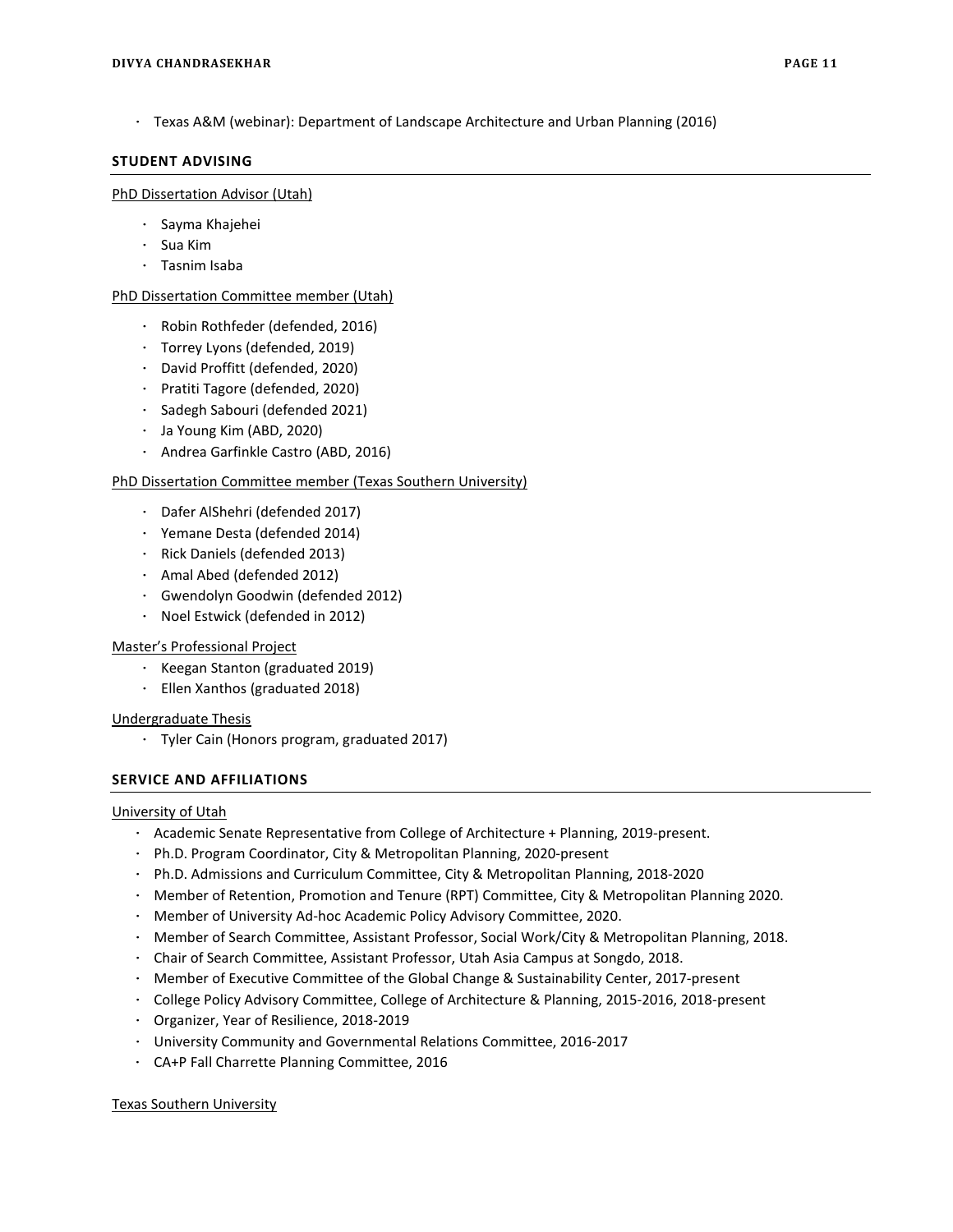· Texas A&M (webinar): Department of Landscape Architecture and Urban Planning (2016)

# **STUDENT ADVISING**

## PhD Dissertation Advisor (Utah)

- · Sayma Khajehei
- · Sua Kim
- · Tasnim Isaba

# PhD Dissertation Committee member (Utah)

- · Robin Rothfeder (defended, 2016)
- · Torrey Lyons (defended, 2019)
- · David Proffitt (defended, 2020)
- · Pratiti Tagore (defended, 2020)
- · Sadegh Sabouri (defended 2021)
- · Ja Young Kim (ABD, 2020)
- · Andrea Garfinkle Castro (ABD, 2016)

# PhD Dissertation Committee member (Texas Southern University)

- · Dafer AlShehri (defended 2017)
- · Yemane Desta (defended 2014)
- · Rick Daniels (defended 2013)
- · Amal Abed (defended 2012)
- · Gwendolyn Goodwin (defended 2012)
- · Noel Estwick (defended in 2012)

# Master's Professional Project

- · Keegan Stanton (graduated 2019)
- · Ellen Xanthos (graduated 2018)

# Undergraduate Thesis

· Tyler Cain (Honors program, graduated 2017)

# **SERVICE AND AFFILIATIONS**

# University of Utah

- · Academic Senate Representative from College of Architecture + Planning, 2019-present.
- · Ph.D. Program Coordinator, City & Metropolitan Planning, 2020-present
- · Ph.D. Admissions and Curriculum Committee, City & Metropolitan Planning, 2018-2020
- · Member of Retention, Promotion and Tenure (RPT) Committee, City & Metropolitan Planning 2020.
- · Member of University Ad-hoc Academic Policy Advisory Committee, 2020.
- · Member of Search Committee, Assistant Professor, Social Work/City & Metropolitan Planning, 2018.
- · Chair of Search Committee, Assistant Professor, Utah Asia Campus at Songdo, 2018.
- · Member of Executive Committee of the Global Change & Sustainability Center, 2017-present
- · College Policy Advisory Committee, College of Architecture & Planning, 2015-2016, 2018-present
- · Organizer, Year of Resilience, 2018-2019
- · University Community and Governmental Relations Committee, 2016-2017
- · CA+P Fall Charrette Planning Committee, 2016

### Texas Southern University